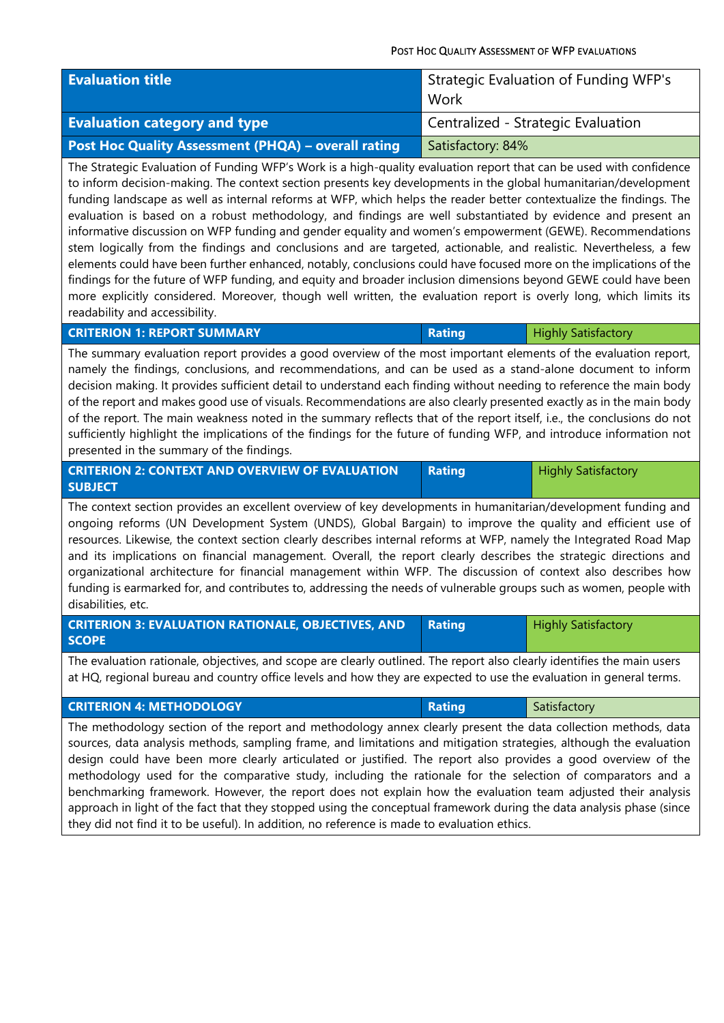## POST HOC QUALITY ASSESSMENT OF WFP EVALUATIONS

| <b>Evaluation title</b>                             | Strategic Evaluation of Funding WFP's<br>Work |
|-----------------------------------------------------|-----------------------------------------------|
| <b>Evaluation category and type</b>                 | Centralized - Strategic Evaluation            |
| Post Hoc Quality Assessment (PHQA) - overall rating | Satisfactory: 84%                             |

The Strategic Evaluation of Funding WFP's Work is a high-quality evaluation report that can be used with confidence to inform decision-making. The context section presents key developments in the global humanitarian/development funding landscape as well as internal reforms at WFP, which helps the reader better contextualize the findings. The evaluation is based on a robust methodology, and findings are well substantiated by evidence and present an informative discussion on WFP funding and gender equality and women's empowerment (GEWE). Recommendations stem logically from the findings and conclusions and are targeted, actionable, and realistic. Nevertheless, a few elements could have been further enhanced, notably, conclusions could have focused more on the implications of the findings for the future of WFP funding, and equity and broader inclusion dimensions beyond GEWE could have been more explicitly considered. Moreover, though well written, the evaluation report is overly long, which limits its readability and accessibility.

| <b>CRITERION 1: REPORT SUMMARY</b> | <b>Rating</b> | <b>Highly Satisfactory</b> |
|------------------------------------|---------------|----------------------------|
|                                    |               |                            |

The summary evaluation report provides a good overview of the most important elements of the evaluation report, namely the findings, conclusions, and recommendations, and can be used as a stand-alone document to inform decision making. It provides sufficient detail to understand each finding without needing to reference the main body of the report and makes good use of visuals. Recommendations are also clearly presented exactly as in the main body of the report. The main weakness noted in the summary reflects that of the report itself, i.e., the conclusions do not sufficiently highlight the implications of the findings for the future of funding WFP, and introduce information not presented in the summary of the findings.

| <b>CRITERION 2: CONTEXT AND OVERVIEW OF EVALUATION</b> | <b>Rating</b> | <b>Highly Satisfactory</b> |
|--------------------------------------------------------|---------------|----------------------------|
| <b>SUBJECT</b>                                         |               |                            |

The context section provides an excellent overview of key developments in humanitarian/development funding and ongoing reforms (UN Development System (UNDS), Global Bargain) to improve the quality and efficient use of resources. Likewise, the context section clearly describes internal reforms at WFP, namely the Integrated Road Map and its implications on financial management. Overall, the report clearly describes the strategic directions and organizational architecture for financial management within WFP. The discussion of context also describes how funding is earmarked for, and contributes to, addressing the needs of vulnerable groups such as women, people with disabilities, etc.

| <b>CRITERION 3: EVALUATION RATIONALE, OBJECTIVES, AND Rating (</b> | <b>Highly Satisfactory</b> |
|--------------------------------------------------------------------|----------------------------|
| <b>SCOPE</b>                                                       |                            |

The evaluation rationale, objectives, and scope are clearly outlined. The report also clearly identifies the main users at HQ, regional bureau and country office levels and how they are expected to use the evaluation in general terms.

| <b>CRITERION 4: METHODOLOGY</b> | Satisfactory |
|---------------------------------|--------------|
|                                 |              |

The methodology section of the report and methodology annex clearly present the data collection methods, data sources, data analysis methods, sampling frame, and limitations and mitigation strategies, although the evaluation design could have been more clearly articulated or justified. The report also provides a good overview of the methodology used for the comparative study, including the rationale for the selection of comparators and a benchmarking framework. However, the report does not explain how the evaluation team adjusted their analysis approach in light of the fact that they stopped using the conceptual framework during the data analysis phase (since they did not find it to be useful). In addition, no reference is made to evaluation ethics.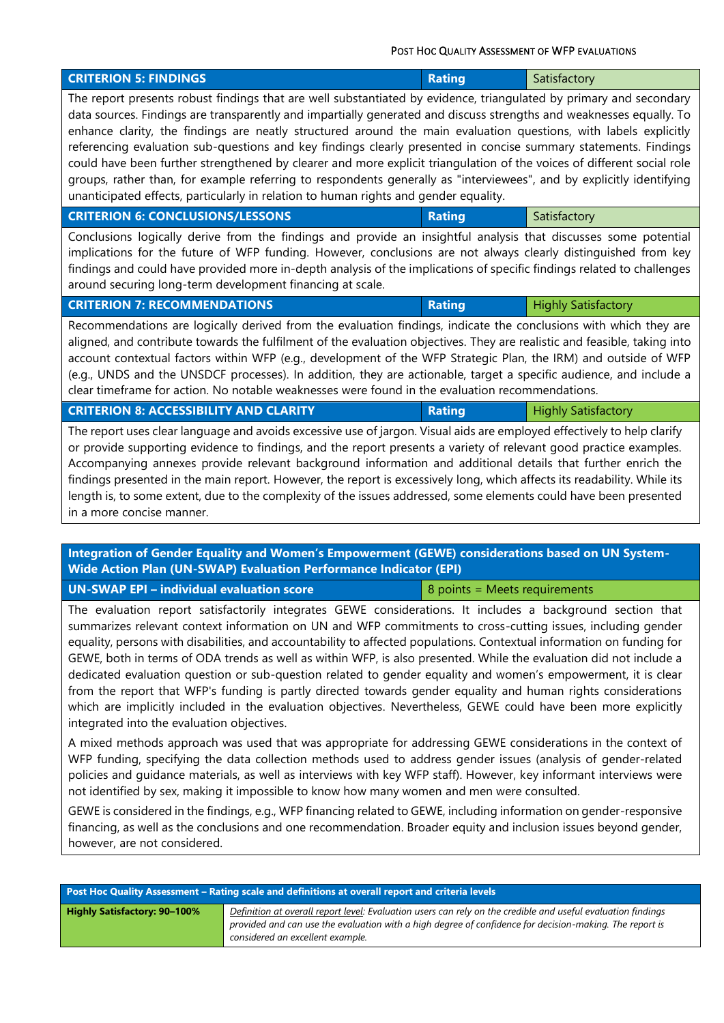POST HOC QUALITY ASSESSMENT OF WFP EVALUATIONS

| <b>CRITERION 5: FINDINGS</b>                                                                                                                                                                                                                                                                                                                                                                                                                                                                                                                                                                                                                                                                                                                                                                                               | <b>Rating</b>                 | Satisfactory               |
|----------------------------------------------------------------------------------------------------------------------------------------------------------------------------------------------------------------------------------------------------------------------------------------------------------------------------------------------------------------------------------------------------------------------------------------------------------------------------------------------------------------------------------------------------------------------------------------------------------------------------------------------------------------------------------------------------------------------------------------------------------------------------------------------------------------------------|-------------------------------|----------------------------|
| The report presents robust findings that are well substantiated by evidence, triangulated by primary and secondary<br>data sources. Findings are transparently and impartially generated and discuss strengths and weaknesses equally. To<br>enhance clarity, the findings are neatly structured around the main evaluation questions, with labels explicitly<br>referencing evaluation sub-questions and key findings clearly presented in concise summary statements. Findings<br>could have been further strengthened by clearer and more explicit triangulation of the voices of different social role<br>groups, rather than, for example referring to respondents generally as "interviewees", and by explicitly identifying<br>unanticipated effects, particularly in relation to human rights and gender equality. |                               |                            |
| <b>CRITERION 6: CONCLUSIONS/LESSONS</b>                                                                                                                                                                                                                                                                                                                                                                                                                                                                                                                                                                                                                                                                                                                                                                                    | <b>Rating</b>                 | Satisfactory               |
| Conclusions logically derive from the findings and provide an insightful analysis that discusses some potential<br>implications for the future of WFP funding. However, conclusions are not always clearly distinguished from key<br>findings and could have provided more in-depth analysis of the implications of specific findings related to challenges<br>around securing long-term development financing at scale.                                                                                                                                                                                                                                                                                                                                                                                                   |                               |                            |
| <b>CRITERION 7: RECOMMENDATIONS</b>                                                                                                                                                                                                                                                                                                                                                                                                                                                                                                                                                                                                                                                                                                                                                                                        | <b>Rating</b>                 | <b>Highly Satisfactory</b> |
| aligned, and contribute towards the fulfilment of the evaluation objectives. They are realistic and feasible, taking into<br>account contextual factors within WFP (e.g., development of the WFP Strategic Plan, the IRM) and outside of WFP                                                                                                                                                                                                                                                                                                                                                                                                                                                                                                                                                                               |                               |                            |
| (e.g., UNDS and the UNSDCF processes). In addition, they are actionable, target a specific audience, and include a<br>clear timeframe for action. No notable weaknesses were found in the evaluation recommendations.                                                                                                                                                                                                                                                                                                                                                                                                                                                                                                                                                                                                      |                               |                            |
| <b>CRITERION 8: ACCESSIBILITY AND CLARITY</b>                                                                                                                                                                                                                                                                                                                                                                                                                                                                                                                                                                                                                                                                                                                                                                              | <b>Rating</b>                 | <b>Highly Satisfactory</b> |
| The report uses clear language and avoids excessive use of jargon. Visual aids are employed effectively to help clarify<br>or provide supporting evidence to findings, and the report presents a variety of relevant good practice examples.<br>Accompanying annexes provide relevant background information and additional details that further enrich the<br>findings presented in the main report. However, the report is excessively long, which affects its readability. While its<br>length is, to some extent, due to the complexity of the issues addressed, some elements could have been presented<br>in a more concise manner.<br>Integration of Gender Equality and Women's Empowerment (GEWE) considerations based on UN System-                                                                              |                               |                            |
| Wide Action Plan (UN-SWAP) Evaluation Performance Indicator (EPI)                                                                                                                                                                                                                                                                                                                                                                                                                                                                                                                                                                                                                                                                                                                                                          |                               |                            |
| <b>UN-SWAP EPI - individual evaluation score</b><br>The evaluation report satisfactorily integrates GEWE considerations. It includes a background section that                                                                                                                                                                                                                                                                                                                                                                                                                                                                                                                                                                                                                                                             | 8 points = Meets requirements |                            |

GEWE is considered in the findings, e.g., WFP financing related to GEWE, including information on gender-responsive financing, as well as the conclusions and one recommendation. Broader equity and inclusion issues beyond gender, however, are not considered.

| Post Hoc Quality Assessment – Rating scale and definitions at overall report and criteria levels |                                                                                                                                                                                                                                                             |
|--------------------------------------------------------------------------------------------------|-------------------------------------------------------------------------------------------------------------------------------------------------------------------------------------------------------------------------------------------------------------|
| <b>Highly Satisfactory: 90-100%</b>                                                              | Definition at overall report level: Evaluation users can rely on the credible and useful evaluation findings<br>provided and can use the evaluation with a high degree of confidence for decision-making. The report is<br>considered an excellent example. |